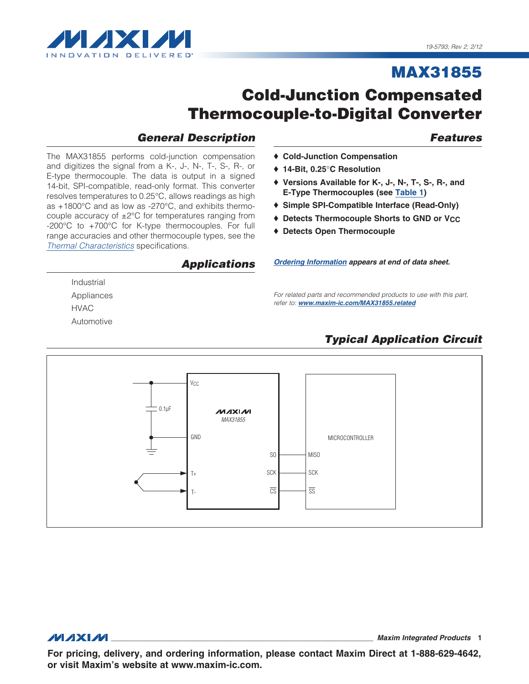

# **Cold-Junction Compensated Thermocouple-to-Digital Converter**

### **General Description**

The MAX31855 performs cold-junction compensation and digitizes the signal from a K-, J-, N-, T-, S-, R-, or E-type thermocouple. The data is output in a signed 14-bit, SPI-compatible, read-only format. This converter resolves temperatures to 0.25°C, allows readings as high as +1800°C and as low as -270°C, and exhibits thermocouple accuracy of  $\pm 2^{\circ}$ C for temperatures ranging from -200°C to +700°C for K-type thermocouples. For full range accuracies and other thermocouple types, see the Thermal Characteristics specifications.

### **Applications**

Industrial Appliances **HVAC** Automotive

#### ♦ Cold-Junction Compensation

- ♦ 14-Bit. 0.25°C Resolution
- ♦ Versions Available for K-, J-, N-, T-, S-, R-, and E-Type Thermocouples (see Table 1)
- ♦ Simple SPI-Compatible Interface (Read-Only)
- ♦ Detects Thermocouple Shorts to GND or VCC
- ♦ Detects Open Thermocouple

Ordering Information appears at end of data sheet.

For related parts and recommended products to use with this part, refer to: www.maxim-ic.com/MAX31855.related

### **Typical Application Circuit**



**MAXM** 

**Maxim Integrated Products 1** 

For pricing, delivery, and ordering information, please contact Maxim Direct at 1-888-629-4642, or visit Maxim's website at www.maxim-ic.com.

### <span id="page-0-0"></span>**Features**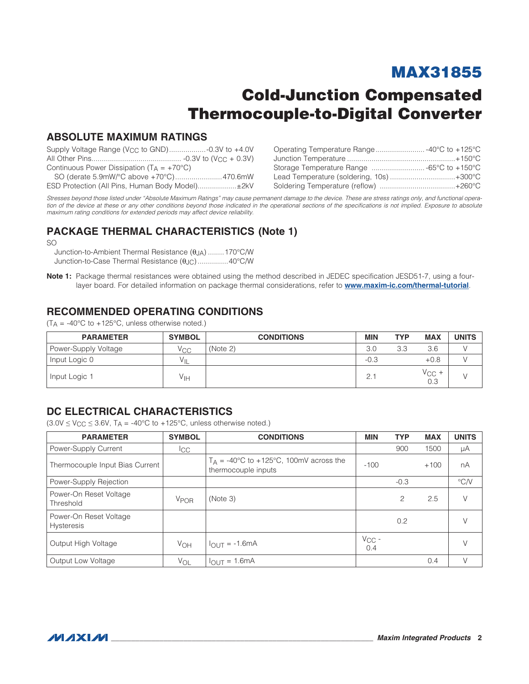# Cold-Junction Compensated Thermocouple-to-Digital Converter

### ABSOLUTE MAXIMUM RATINGS

| Continuous Power Dissipation $(T_A = +70^{\circ}C)$ |  |
|-----------------------------------------------------|--|
|                                                     |  |
| ESD Protection (All Pins, Human Body Model)±2kV     |  |

| Operating Temperature Range -40°C to +125°C |  |
|---------------------------------------------|--|
|                                             |  |
| Storage Temperature Range  -65°C to +150°C  |  |
| Lead Temperature (soldering, 10s)+300°C     |  |
|                                             |  |
|                                             |  |

*Stresses beyond those listed under "Absolute Maximum Ratings" may cause permanent damage to the device. These are stress ratings only, and functional opera*tion of the device at these or any other conditions beyond those indicated in the operational sections of the specifications is not implied. Exposure to absolute *maximum rating conditions for extended periods may affect device reliability.*

### PACKAGE THERMAL CHARACTERISTICS (Note 1)

SO

Junction-to-Ambient Thermal Resistance ( $\theta$ JA) ........170°C/W Junction-to-Case Thermal Resistance ( $\theta$ JC)...............40°C/W

Note 1: Package thermal resistances were obtained using the method described in JEDEC specification JESD51-7, using a fourlayer board. For detailed information on package thermal considerations, refer to www.maxim-ic.com/thermal-tutorial.

### RECOMMENDED OPERATING CONDITIONS

| <b>PARAMETER</b>     | <b>SYMBOL</b>   | <b>CONDITIONS</b> | <b>MIN</b> | <b>TYP</b> | <b>MAX</b>            | <b>UNITS</b> |
|----------------------|-----------------|-------------------|------------|------------|-----------------------|--------------|
| Power-Supply Voltage | V <sub>CC</sub> | (Note 2)          | 3.0        | 3.3        | 3.6                   |              |
| Input Logic 0        | Vн              |                   | $-0.3$     |            | $+0.8$                |              |
| Input Logic 1        | Уιн             |                   | 2.         |            | $V_{\rm CC}$ +<br>0.3 |              |

 $(T_A = -40^{\circ}C$  to  $+125^{\circ}C$ , unless otherwise noted.)

### <span id="page-1-0"></span>DC ELECTRICAL CHARACTERISTICS

 $(3.0V \le V_{CC} \le 3.6V, T_A = -40^{\circ}C$  to  $+125^{\circ}C$ , unless otherwise noted.)

| <b>PARAMETER</b>                     | <b>SYMBOL</b>          | <b>CONDITIONS</b>                                                | <b>MIN</b>        | <b>TYP</b> | <b>MAX</b> | <b>UNITS</b>  |
|--------------------------------------|------------------------|------------------------------------------------------------------|-------------------|------------|------------|---------------|
| Power-Supply Current                 | <sub>ICC</sub>         |                                                                  |                   | 900        | 1500       | μA            |
| Thermocouple Input Bias Current      |                        | $T_A$ = -40°C to +125°C, 100mV across the<br>thermocouple inputs | $-100$            |            | $+100$     | nA            |
| Power-Supply Rejection               |                        |                                                                  |                   | $-0.3$     |            | $\degree$ C/V |
| Power-On Reset Voltage<br>Threshold  | <b>V<sub>POR</sub></b> | (Note 3)                                                         |                   | 2          | 2.5        | V             |
| Power-On Reset Voltage<br>Hysteresis |                        |                                                                  |                   | 0.2        |            | $\vee$        |
| Output High Voltage                  | V <sub>OH</sub>        | $I_{OUT} = -1.6mA$                                               | $V_{CC}$ -<br>0.4 |            |            | $\vee$        |
| Output Low Voltage                   | VOL                    | $= 1.6$ mA<br><b>IOUT</b>                                        |                   |            | 0.4        | V             |

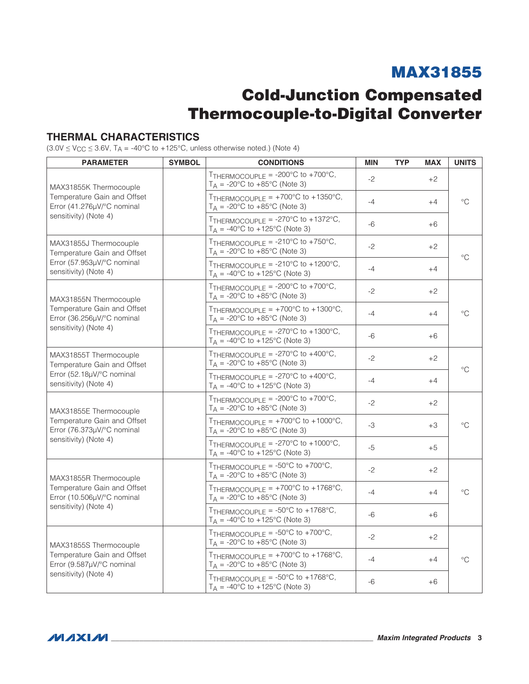# Cold-Junction Compensated Thermocouple-to-Digital Converter

### <span id="page-2-0"></span>THERMAL CHARACTERISTICS

 $(3.0V \le VCC \le 3.6V, T_A = -40°C$  to +125°C, unless otherwise noted.) (Note 4)

| <b>PARAMETER</b>                                          | <b>SYMBOL</b>                                                                                         | <b>CONDITIONS</b>                                                                                          | <b>MIN</b> | <b>TYP</b> | <b>MAX</b> | <b>UNITS</b> |  |
|-----------------------------------------------------------|-------------------------------------------------------------------------------------------------------|------------------------------------------------------------------------------------------------------------|------------|------------|------------|--------------|--|
| MAX31855K Thermocouple                                    |                                                                                                       | TTHERMOCOUPLE = $-200^{\circ}$ C to $+700^{\circ}$ C,<br>$T_A = -20$ °C to $+85$ °C (Note 3)               | $-2$       |            | $+2$       |              |  |
| Temperature Gain and Offset<br>Error (41.276µV/°C nominal |                                                                                                       | TTHERMOCOUPLE = $+700^{\circ}$ C to $+1350^{\circ}$ C,<br>$T_A = -20$ °C to $+85$ °C (Note 3)              | $-4$       |            | $+4$       | $^{\circ}C$  |  |
| sensitivity) (Note 4)                                     |                                                                                                       | TTHERMOCOUPLE = $-270^{\circ}$ C to $+1372^{\circ}$ C,<br>$T_A = -40$ °C to +125°C (Note 3)                | -6         |            | $+6$       |              |  |
| MAX31855J Thermocouple<br>Temperature Gain and Offset     |                                                                                                       | TTHERMOCOUPLE = $-210^{\circ}$ C to $+750^{\circ}$ C,<br>$T_A$ = -20°C to +85°C (Note 3)                   | $-2$       |            | $+2$       | $^{\circ}C$  |  |
| Error (57.953µV/°C nominal<br>sensitivity) (Note 4)       |                                                                                                       | TTHERMOCOUPLE = $-210^{\circ}$ C to $+1200^{\circ}$ C,<br>$T_A = -40^{\circ}C$ to $+125^{\circ}C$ (Note 3) | $-4$       |            | $+4$       |              |  |
| MAX31855N Thermocouple                                    |                                                                                                       | TTHERMOCOUPLE = $-200^{\circ}$ C to $+700^{\circ}$ C,<br>$T_A$ = -20°C to +85°C (Note 3)                   | $-2$       |            | $+2$       |              |  |
| Temperature Gain and Offset<br>Error (36.256µV/°C nominal |                                                                                                       | TTHERMOCOUPLE = $+700^{\circ}$ C to $+1300^{\circ}$ C,<br>$T_A = -20$ °C to $+85$ °C (Note 3)              | $-4$       |            | $+4$       | $^{\circ}C$  |  |
| sensitivity) (Note 4)                                     |                                                                                                       | TTHERMOCOUPLE = $-270^{\circ}$ C to $+1300^{\circ}$ C,<br>$T_A = -40$ °C to $+125$ °C (Note 3)             | $-6$       |            | $+6$       |              |  |
| MAX31855T Thermocouple<br>Temperature Gain and Offset     |                                                                                                       | TTHERMOCOUPLE = $-270^{\circ}$ C to $+400^{\circ}$ C,<br>$T_A = -20$ °C to $+85$ °C (Note 3)               | $-2$       |            | $+2$       |              |  |
| Error (52.18µV/°C nominal<br>sensitivity) (Note 4)        |                                                                                                       | TTHERMOCOUPLE = $-270^{\circ}$ C to $+400^{\circ}$ C,<br>$T_A = -40$ °C to +125°C (Note 3)                 | $-4$       |            | $+4$       | $^{\circ}C$  |  |
| MAX31855E Thermocouple                                    |                                                                                                       | TTHERMOCOUPLE = $-200^{\circ}$ C to $+700^{\circ}$ C,<br>$T_A = -20$ °C to $+85$ °C (Note 3)               | $-2$       |            | $+2$       |              |  |
| Temperature Gain and Offset<br>Error (76.373µV/°C nominal |                                                                                                       | TTHERMOCOUPLE = $+700^{\circ}$ C to $+1000^{\circ}$ C,<br>$T_A$ = -20°C to +85°C (Note 3)                  | -3         |            | $+3$       | $^{\circ}C$  |  |
| sensitivity) (Note 4)                                     |                                                                                                       | TTHERMOCOUPLE = $-270^{\circ}$ C to $+1000^{\circ}$ C,<br>$T_A = -40$ °C to +125°C (Note 3)                | -5         |            | $+5$       |              |  |
| MAX31855R Thermocouple                                    |                                                                                                       | TTHERMOCOUPLE = $-50^{\circ}$ C to $+700^{\circ}$ C,<br>$T_A$ = -20°C to +85°C (Note 3)                    | $-2$       |            | $+2$       |              |  |
| Temperature Gain and Offset<br>Error (10.506µV/°C nominal |                                                                                                       | TTHERMOCOUPLE = $+700^{\circ}$ C to $+1768^{\circ}$ C,<br>$T_A$ = -20°C to +85°C (Note 3)                  | $-4$       |            | $+4$       | °C           |  |
| sensitivity) (Note 4)                                     |                                                                                                       | TTHERMOCOUPLE = $-50^{\circ}$ C to $+1768^{\circ}$ C,<br>$T_A = -40^{\circ}C$ to $+125^{\circ}C$ (Note 3)  | -6         |            | $+6$       |              |  |
| MAX31855S Thermocouple                                    |                                                                                                       | TTHERMOCOUPLE = $-50^{\circ}$ C to $+700^{\circ}$ C,<br>$T_A = -20$ °C to $+85$ °C (Note 3)                | $-2$       |            | $+2$       |              |  |
| Temperature Gain and Offset<br>Error (9.587µV/°C nominal  | TTHERMOCOUPLE = $+700^{\circ}$ C to $+1768^{\circ}$ C,<br>$-4$<br>$T_A = -20$ °C to $+85$ °C (Note 3) |                                                                                                            |            |            | $+4$       | °C           |  |
| sensitivity) (Note 4)                                     |                                                                                                       | TTHERMOCOUPLE = $-50^{\circ}$ C to $+1768^{\circ}$ C,<br>$T_A = -40^{\circ}C$ to $+125^{\circ}C$ (Note 3)  | $-6$       |            | $+6$       |              |  |

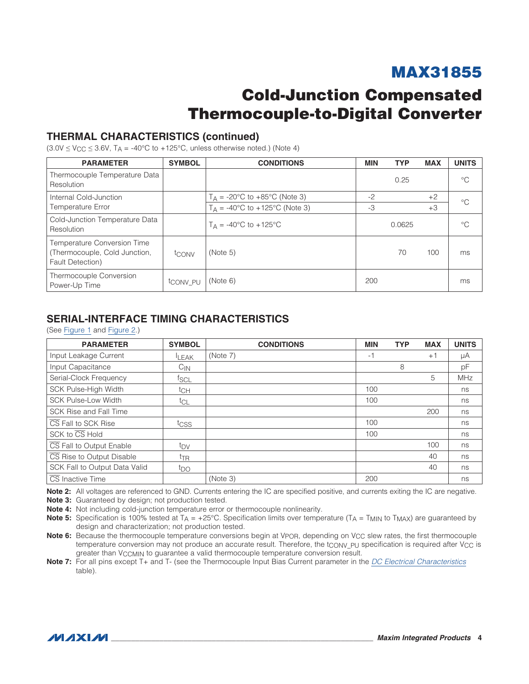## Cold-Junction Compensated Thermocouple-to-Digital Converter

### THERMAL CHARACTERISTICS (continued)

 $(3.0V \le V_{CC} \le 3.6V, T_A = -40^{\circ}C$  to +125°C, unless otherwise noted.) (Note 4)

| <b>PARAMETER</b>                                                                 | <b>SYMBOL</b> | <b>CONDITIONS</b>                                | <b>MIN</b> | <b>TYP</b> | <b>MAX</b> | <b>UNITS</b> |
|----------------------------------------------------------------------------------|---------------|--------------------------------------------------|------------|------------|------------|--------------|
| Thermocouple Temperature Data<br>Resolution                                      |               |                                                  |            | 0.25       |            | $^{\circ}C$  |
| Internal Cold-Junction                                                           |               | $T_A = -20$ °C to $+85$ °C (Note 3)              | $-2$       |            | $+2$       | $^{\circ}C$  |
| Temperature Error                                                                |               | $T_A = -40^{\circ}C$ to $+125^{\circ}C$ (Note 3) | -3         |            | $+3$       |              |
| Cold-Junction Temperature Data<br>Resolution                                     |               | $T_A = -40^{\circ}C$ to $+125^{\circ}C$          |            | 0.0625     |            | $^{\circ}$ C |
| Temperature Conversion Time<br>(Thermocouple, Cold Junction,<br>Fault Detection) | tconv         | (Note 5)                                         |            | 70         | 100        | ms           |
| Thermocouple Conversion<br>Power-Up Time                                         | tconv PU      | (Note 6)                                         | 200        |            |            | ms           |

### SERIAL-INTERFACE TIMING CHARACTERISTICS

(See [Figure 1](#page-4-0) and [Figure 2.](#page-4-1))

| <b>PARAMETER</b>              | <b>SYMBOL</b>     | <b>CONDITIONS</b> | <b>MIN</b> | <b>TYP</b> | <b>MAX</b> | <b>UNITS</b> |
|-------------------------------|-------------------|-------------------|------------|------------|------------|--------------|
| Input Leakage Current         | <b>LEAK</b>       | (Note 7)          | -1         |            | $+1$       | μA           |
| Input Capacitance             | $C_{\mathsf{IN}}$ |                   |            | 8          |            | pF           |
| Serial-Clock Frequency        | fscl              |                   |            |            | 5          | <b>MHz</b>   |
| SCK Pulse-High Width          | tch               |                   | 100        |            |            | ns           |
| <b>SCK Pulse-Low Width</b>    | $t_{CL}$          |                   | 100        |            |            | ns           |
| SCK Rise and Fall Time        |                   |                   |            |            | 200        | ns           |
| CS Fall to SCK Rise           | tcss              |                   | 100        |            |            | ns           |
| SCK to CS Hold                |                   |                   | 100        |            |            | ns           |
| CS Fall to Output Enable      | t <sub>DV</sub>   |                   |            |            | 100        | ns           |
| CS Rise to Output Disable     | $t_{\text{TR}}$   |                   |            |            | 40         | ns           |
| SCK Fall to Output Data Valid | t <sub>DO</sub>   |                   |            |            | 40         | ns           |
| CS Inactive Time              |                   | (Note 3)          | 200        |            |            | ns           |

Note 2: All voltages are referenced to GND. Currents entering the IC are specified positive, and currents exiting the IC are negative.

Note 3: Guaranteed by design; not production tested.

Note 4: Not including cold-junction temperature error or thermocouple nonlinearity.

Note 5: Specification is 100% tested at  $T_A = +25^{\circ}$ C. Specification limits over temperature (T<sub>A</sub> = T<sub>MIN</sub> to T<sub>MAX</sub>) are guaranteed by design and characterization; not production tested.

Note 6: Because the thermocouple temperature conversions begin at Vp<sub>OR</sub>, depending on V<sub>CC</sub> slew rates, the first thermocouple temperature conversion may not produce an accurate result. Therefore, the tCONV PU specification is required after VCC is greater than VCCMIN to guarantee a valid thermocouple temperature conversion result.

Note 7: For all pins except T+ and T- (see the Thermocouple Input Bias Current parameter in the *[DC Electrical Characteristics](#page-1-0)* table).

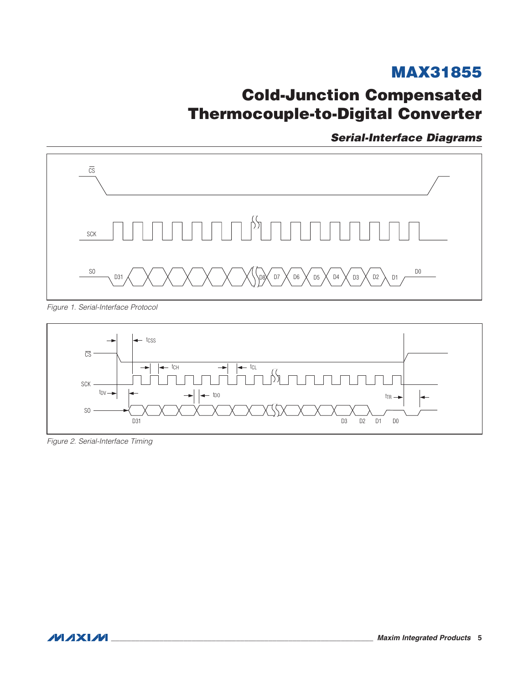# **Cold-Junction Compensated Thermocouple-to-Digital Converter**

**Serial-Interface Diagrams** 

<span id="page-4-0"></span>

Figure 1. Serial-Interface Protocol

<span id="page-4-1"></span>

Figure 2. Serial-Interface Timing

**MAXIM**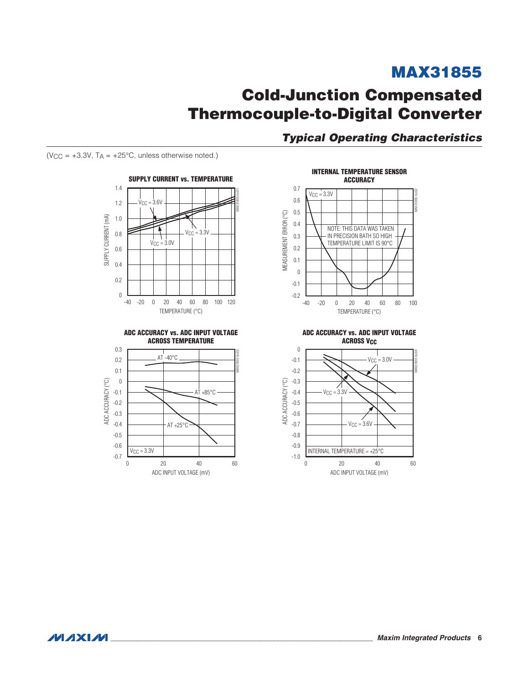## **Cold-Junction Compensated Thermocouple-to-Digital Converter**

**Typical Operating Characteristics** 

(VCC =  $+3.3V$ , TA =  $+25^{\circ}$ C, unless otherwise noted.)









ADC ACCURACY vs. ADC INPUT VOLTAGE **ACROSS V<sub>CC</sub>** 



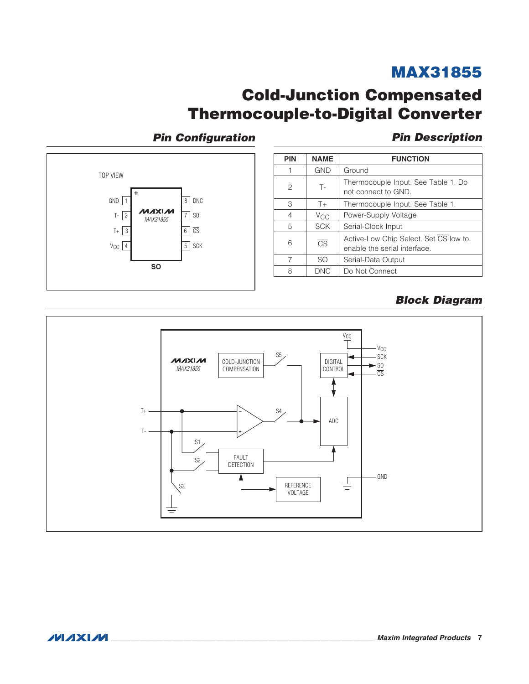## **Cold-Junction Compensated Thermocouple-to-Digital Converter**

### **Pin Configuration**

**Pin Description** 



| <b>PIN</b> | <b>NAME</b>            | <b>FUNCTION</b>                                                       |
|------------|------------------------|-----------------------------------------------------------------------|
|            | <b>GND</b>             | Ground                                                                |
| 2          | $T -$                  | Thermocouple Input. See Table 1. Do<br>not connect to GND.            |
| 3          | $T+$                   | Thermocouple Input. See Table 1.                                      |
| 4          | $V_{\rm CC}$           | Power-Supply Voltage                                                  |
| 5          | <b>SCK</b>             | Serial-Clock Input                                                    |
| 6          | $\overline{\text{CS}}$ | Active-Low Chip Select. Set CS low to<br>enable the serial interface. |
| 7          | SO.                    | Serial-Data Output                                                    |
| 8          | <b>DNC</b>             | Do Not Connect                                                        |

### <span id="page-6-0"></span>**Block Diagram**

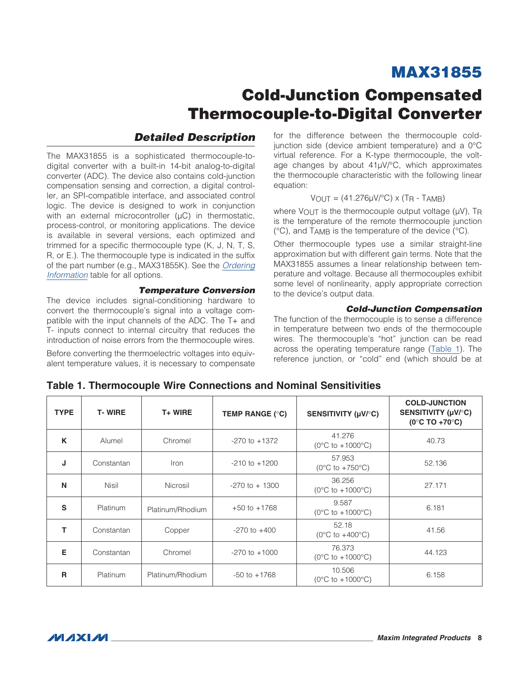# Cold-Junction Compensated Thermocouple-to-Digital Converter

### *Detailed Description*

The MAX31855 is a sophisticated thermocouple-todigital converter with a built-in 14-bit analog-to-digital converter (ADC). The device also contains cold-junction compensation sensing and correction, a digital controller, an SPI-compatible interface, and associated control logic. The device is designed to work in conjunction with an external microcontroller  $(µC)$  in thermostatic, process-control, or monitoring applications. The device is available in several versions, each optimized and trimmed for a specific thermocouple type (K, J, N, T, S, R, or E.). The thermocouple type is indicated in the suffix of the part number (e.g., MAX31855K). See the *[Ordering](#page-11-1) [Information](#page-11-1)* table for all options.

#### *Temperature Conversion*

The device includes signal-conditioning hardware to convert the thermocouple's signal into a voltage compatible with the input channels of the ADC. The T+ and T- inputs connect to internal circuitry that reduces the introduction of noise errors from the thermocouple wires.

Before converting the thermoelectric voltages into equivalent temperature values, it is necessary to compensate for the difference between the thermocouple coldjunction side (device ambient temperature) and a  $0^{\circ}$ C virtual reference. For a K-type thermocouple, the voltage changes by about  $41\mu$ V/°C, which approximates the thermocouple characteristic with the following linear equation:

#### $VOUT = (41.276\mu V/C) \times (TR - TAMB)$

where  $V$ OUT is the thermocouple output voltage ( $UV$ ), TR is the temperature of the remote thermocouple junction  $(°C)$ , and T<sub>AMB</sub> is the temperature of the device  $(^{\circ}C)$ .

Other thermocouple types use a similar straight-line approximation but with different gain terms. Note that the MAX31855 assumes a linear relationship between temperature and voltage. Because all thermocouples exhibit some level of nonlinearity, apply appropriate correction to the device's output data.

#### *Cold-Junction Compensation*

The function of the thermocouple is to sense a difference in temperature between two ends of the thermocouple wires. The thermocouple's "hot" junction can be read across the operating temperature range [\(Table 1](#page-7-0)). The reference junction, or "cold" end (which should be at

| <b>TYPE</b> | <b>T-WIRE</b>   | $T+$ WIRE        | TEMP RANGE (°C)   | SENSITIVITY (µV/°C)                                | <b>COLD-JUNCTION</b><br>SENSITIVITY (µV/°C)<br>$(0^{\circ}$ C TO +70 $^{\circ}$ C) |
|-------------|-----------------|------------------|-------------------|----------------------------------------------------|------------------------------------------------------------------------------------|
| K           | Alumel          | Chromel          | $-270$ to $+1372$ | 41.276<br>$(0^{\circ}C$ to $+1000^{\circ}C)$       | 40.73                                                                              |
| J           | Constantan      | Iron             | $-210$ to $+1200$ | 57.953<br>$(0^{\circ}$ C to +750 $^{\circ}$ C)     | 52.136                                                                             |
| N           | <b>Nisil</b>    | Nicrosil         | $-270$ to $+1300$ | 36.256<br>$(0^{\circ}C$ to $+1000^{\circ}C)$       | 27.171                                                                             |
| S           | <b>Platinum</b> | Platinum/Rhodium | $+50$ to $+1768$  | 9.587<br>$(0^{\circ}C \text{ to } +1000^{\circ}C)$ | 6.181                                                                              |
| т           | Constantan      | Copper           | $-270$ to $+400$  | 52.18<br>$(0^{\circ}$ C to +400 $^{\circ}$ C)      | 41.56                                                                              |
| Е           | Constantan      | Chromel          | $-270$ to $+1000$ | 76.373<br>$(0^{\circ}C$ to $+1000^{\circ}C)$       | 44.123                                                                             |
| R           | Platinum        | Platinum/Rhodium | $-50$ to $+1768$  | 10.506<br>$(0^{\circ}C$ to $+1000^{\circ}C)$       | 6.158                                                                              |

<span id="page-7-0"></span>Table 1. Thermocouple Wire Connections and Nominal Sensitivities

 $MNM$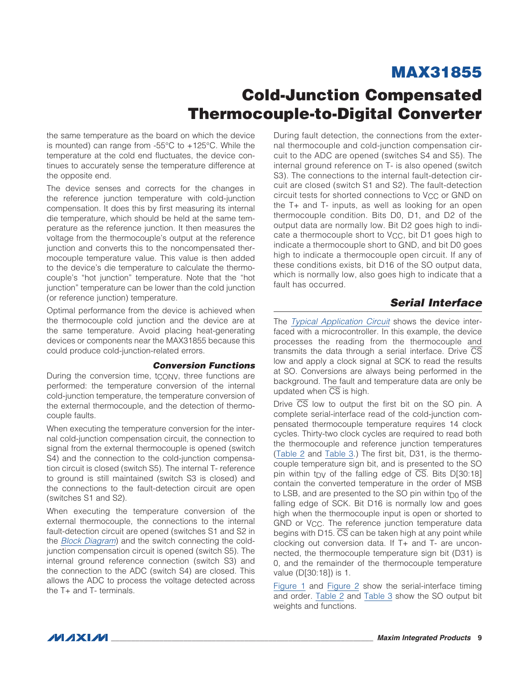## Cold-Junction Compensated Thermocouple-to-Digital Converter

the same temperature as the board on which the device is mounted) can range from  $-55^{\circ}$ C to  $+125^{\circ}$ C. While the temperature at the cold end fluctuates, the device continues to accurately sense the temperature difference at the opposite end.

The device senses and corrects for the changes in the reference junction temperature with cold-junction compensation. It does this by first measuring its internal die temperature, which should be held at the same temperature as the reference junction. It then measures the voltage from the thermocouple's output at the reference junction and converts this to the noncompensated thermocouple temperature value. This value is then added to the device's die temperature to calculate the thermocouple's "hot junction" temperature. Note that the "hot junction" temperature can be lower than the cold junction (or reference junction) temperature.

Optimal performance from the device is achieved when the thermocouple cold junction and the device are at the same temperature. Avoid placing heat-generating devices or components near the MAX31855 because this could produce cold-junction-related errors.

#### *Conversion Functions*

During the conversion time, tCONV, three functions are performed: the temperature conversion of the internal cold-junction temperature, the temperature conversion of the external thermocouple, and the detection of thermocouple faults.

When executing the temperature conversion for the internal cold-junction compensation circuit, the connection to signal from the external thermocouple is opened (switch S4) and the connection to the cold-junction compensation circuit is closed (switch S5). The internal T- reference to ground is still maintained (switch S3 is closed) and the connections to the fault-detection circuit are open (switches S1 and S2).

When executing the temperature conversion of the external thermocouple, the connections to the internal fault-detection circuit are opened (switches S1 and S2 in the *[Block Diagram](#page-6-0)*) and the switch connecting the coldjunction compensation circuit is opened (switch S5). The internal ground reference connection (switch S3) and the connection to the ADC (switch S4) are closed. This allows the ADC to process the voltage detected across the T+ and T- terminals.

During fault detection, the connections from the external thermocouple and cold-junction compensation circuit to the ADC are opened (switches S4 and S5). The internal ground reference on T- is also opened (switch S3). The connections to the internal fault-detection circuit are closed (switch S1 and S2). The fault-detection circuit tests for shorted connections to V<sub>CC</sub> or GND on the T+ and T- inputs, as well as looking for an open thermocouple condition. Bits D0, D1, and D2 of the output data are normally low. Bit D2 goes high to indicate a thermocouple short to VCC, bit D1 goes high to indicate a thermocouple short to GND, and bit D0 goes high to indicate a thermocouple open circuit. If any of these conditions exists, bit D16 of the SO output data, which is normally low, also goes high to indicate that a fault has occurred.

### *Serial Interface*

The *[Typical Application Circuit](#page-0-0)* shows the device interfaced with a microcontroller. In this example, the device processes the reading from the thermocouple and transmits the data through a serial interface. Drive  $\overline{\text{CS}}$ low and apply a clock signal at SCK to read the results at SO. Conversions are always being performed in the background. The fault and temperature data are only be updated when  $\overline{\text{CS}}$  is high.

Drive  $\overline{CS}$  low to output the first bit on the SO pin. A complete serial-interface read of the cold-junction compensated thermocouple temperature requires 14 clock cycles. Thirty-two clock cycles are required to read both the thermocouple and reference junction temperatures ([Table 2](#page-9-0) and [Table 3](#page-9-1).) The first bit, D31, is the thermocouple temperature sign bit, and is presented to the SO pin within t<sub>DV</sub> of the falling edge of  $\overline{CS}$ . Bits D[30:18] contain the converted temperature in the order of MSB to LSB, and are presented to the SO pin within  $t_{D0}$  of the falling edge of SCK. Bit D16 is normally low and goes high when the thermocouple input is open or shorted to GND or V<sub>CC</sub>. The reference junction temperature data begins with  $D15. \overline{CS}$  can be taken high at any point while clocking out conversion data. If T+ and T- are unconnected, the thermocouple temperature sign bit (D31) is 0, and the remainder of the thermocouple temperature value (D[30:18]) is 1.

[Figure 1](#page-4-0) and [Figure 2](#page-4-1) show the serial-interface timing and order. [Table 2](#page-9-0) and [Table 3](#page-9-1) show the SO output bit weights and functions.

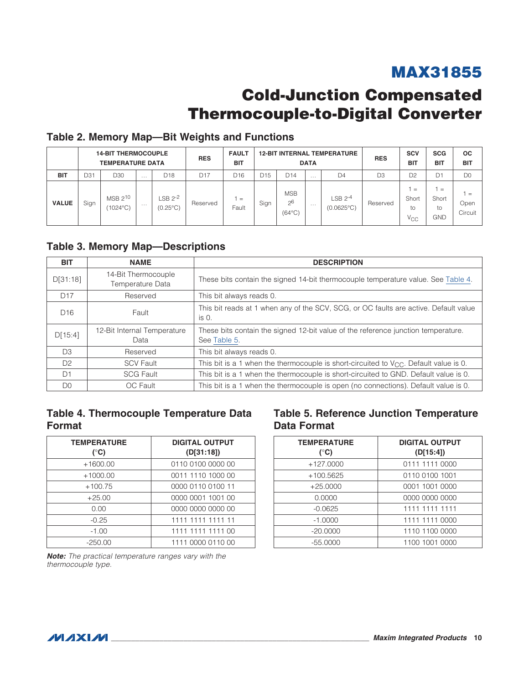# Cold-Junction Compensated Thermocouple-to-Digital Converter

### <span id="page-9-0"></span>Table 2. Memory Map—Bit Weights and Functions

|              |      | <b>14-BIT THERMOCOUPLE</b><br><b>TEMPERATURE DATA</b> |   |                                          | <b>RES</b>      | <b>FAULT</b><br><b>BIT</b> |      |                                                 | <b>DATA</b> | <b>12-BIT INTERNAL TEMPERATURE</b> | <b>RES</b> | <b>SCV</b><br><b>BIT</b>              | <b>SCG</b><br><b>BIT</b>         | <b>OC</b><br><b>BIT</b> |
|--------------|------|-------------------------------------------------------|---|------------------------------------------|-----------------|----------------------------|------|-------------------------------------------------|-------------|------------------------------------|------------|---------------------------------------|----------------------------------|-------------------------|
| <b>BIT</b>   | D31  | D30                                                   | . | D <sub>18</sub>                          | D <sub>17</sub> | D <sub>16</sub>            | D15  | D <sub>14</sub>                                 | .           | D <sub>4</sub>                     | D3         | D <sub>2</sub>                        | D1                               | D <sub>0</sub>          |
| <b>VALUE</b> | Sign | $MSB$ $2^{10}$<br>(1024°C)                            | . | LSB 2 <sup>-2</sup><br>$(0.25^{\circ}C)$ | Reserved        | $=$<br>Fault               | Sign | <b>MSB</b><br>2 <sup>6</sup><br>$(64^{\circ}C)$ | .           | $LSB$ 2-4<br>$(0.0625^{\circ}C)$   | Reserved   | $=$<br>Short<br>to<br>V <sub>CC</sub> | $=$<br>Short<br>to<br><b>GND</b> | $=$<br>Open<br>Circuit  |

### <span id="page-9-1"></span>Table 3. Memory Map—Descriptions

| <b>BIT</b>      | <b>NAME</b>                             | <b>DESCRIPTION</b>                                                                                |
|-----------------|-----------------------------------------|---------------------------------------------------------------------------------------------------|
| D[31:18]        | 14-Bit Thermocouple<br>Temperature Data | These bits contain the signed 14-bit thermocouple temperature value. See Table 4.                 |
| D <sub>17</sub> | Reserved                                | This bit always reads 0.                                                                          |
| D <sub>16</sub> | Fault                                   | This bit reads at 1 when any of the SCV, SCG, or OC faults are active. Default value<br>is 0.     |
| D[15:4]         | 12-Bit Internal Temperature<br>Data     | These bits contain the signed 12-bit value of the reference junction temperature.<br>See Table 5. |
| D <sub>3</sub>  | Reserved                                | This bit always reads 0.                                                                          |
| D <sub>2</sub>  | <b>SCV Fault</b>                        | This bit is a 1 when the thermocouple is short-circuited to $V_{CC}$ . Default value is 0.        |
| D <sub>1</sub>  | <b>SCG Fault</b>                        | This bit is a 1 when the thermocouple is short-circuited to GND. Default value is 0.              |
| D <sub>0</sub>  | OC Fault                                | This bit is a 1 when the thermocouple is open (no connections). Default value is 0.               |

### <span id="page-9-2"></span>Table 4. Thermocouple Temperature Data Format

| <b>TEMPERATURE</b><br>$(^{\circ}C)$ | <b>DIGITAL OUTPUT</b><br>(D[31:18]) |
|-------------------------------------|-------------------------------------|
| $+1600.00$                          | 0110 0100 0000 00                   |
| $+1000.00$                          | 0011 1110 1000 00                   |
| $+100.75$                           | 0000 0110 0100 11                   |
| $+25.00$                            | 0000 0001 1001 00                   |
| 0.00                                | 0000 0000 0000 00                   |
| $-0.25$                             | 1111 1111 1111 11                   |
| $-1.00$                             | 1111 1111 1111 00                   |
| $-250.00$                           | 1111 0000 0110 00                   |

### <span id="page-9-3"></span>Table 5. Reference Junction Temperature Data Format

| <b>TEMPERATURE</b><br>$(^{\circ}C)$ | <b>DIGITAL OUTPUT</b><br>(D[15:4]) |
|-------------------------------------|------------------------------------|
| $+127.0000$                         | 0111 1111 0000                     |
| +100.5625                           | 0110 0100 1001                     |
| $+25.0000$                          | 0001 1001 0000                     |
| 0.0000                              | 0000 0000 0000                     |
| $-0.0625$                           | 1111 1111 1111                     |
| $-1.0000$                           | 1111 1111 0000                     |
| $-20.0000$                          | 1110 1100 0000                     |
| $-55.0000$                          | 1100 1001 0000                     |

*Note: The practical temperature ranges vary with the thermocouple type.*

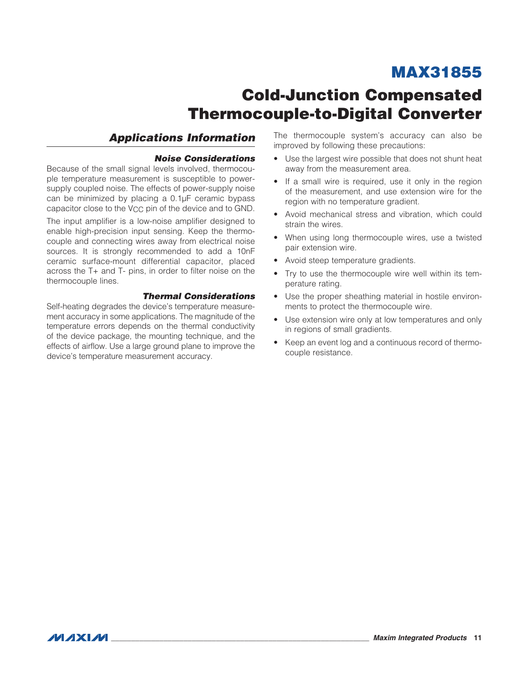# Cold-Junction Compensated Thermocouple-to-Digital Converter

### *Applications Information*

#### *Noise Considerations*

Because of the small signal levels involved, thermocouple temperature measurement is susceptible to powersupply coupled noise. The effects of power-supply noise can be minimized by placing a  $0.1\mu$ F ceramic bypass capacitor close to the V<sub>CC</sub> pin of the device and to GND.

The input amplifier is a low-noise amplifier designed to enable high-precision input sensing. Keep the thermocouple and connecting wires away from electrical noise sources. It is strongly recommended to add a 10nF ceramic surface-mount differential capacitor, placed across the T+ and T- pins, in order to filter noise on the thermocouple lines.

### *Thermal Considerations*

Self-heating degrades the device's temperature measurement accuracy in some applications. The magnitude of the temperature errors depends on the thermal conductivity of the device package, the mounting technique, and the effects of airflow. Use a large ground plane to improve the device's temperature measurement accuracy.

The thermocouple system's accuracy can also be improved by following these precautions:

- Use the largest wire possible that does not shunt heat away from the measurement area.
- If a small wire is required, use it only in the region of the measurement, and use extension wire for the region with no temperature gradient.
- • Avoid mechanical stress and vibration, which could strain the wires.
- When using long thermocouple wires, use a twisted pair extension wire.
- Avoid steep temperature gradients.
- Try to use the thermocouple wire well within its temperature rating.
- Use the proper sheathing material in hostile environments to protect the thermocouple wire.
- Use extension wire only at low temperatures and only in regions of small gradients.
- Keep an event log and a continuous record of thermocouple resistance.

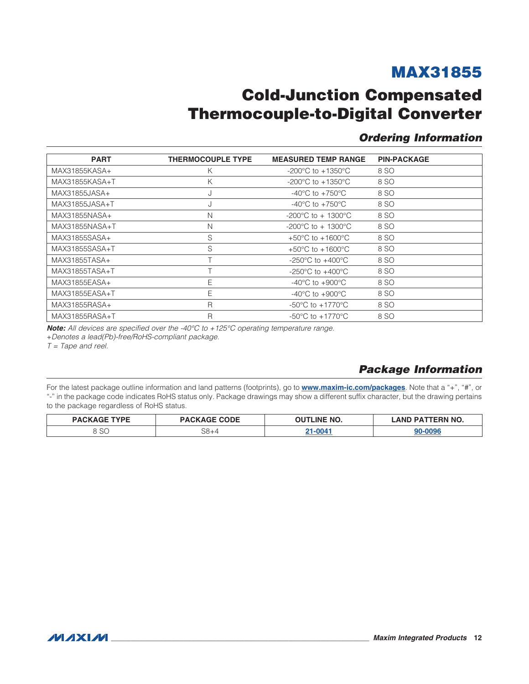## **Cold-Junction Compensated Thermocouple-to-Digital Converter**

### <span id="page-11-1"></span>**Ordering Information**

<span id="page-11-0"></span>

| <b>PART</b>    | <b>THERMOCOUPLE TYPE</b> | <b>MEASURED TEMP RANGE</b>               | <b>PIN-PACKAGE</b> |
|----------------|--------------------------|------------------------------------------|--------------------|
| MAX31855KASA+  | Κ                        | -200 $^{\circ}$ C to +1350 $^{\circ}$ C  | 8 SO               |
| MAX31855KASA+T | Κ                        | $-200^{\circ}$ C to $+1350^{\circ}$ C    | 8 SO               |
| MAX31855JASA+  | J                        | -40 $^{\circ}$ C to +750 $^{\circ}$ C    | 8 SO               |
| MAX31855JASA+T | J                        | $-40^{\circ}$ C to $+750^{\circ}$ C      | 8 SO               |
| MAX31855NASA+  | N                        | -200°C to + 1300°C                       | 8 SO               |
| MAX31855NASA+T | N                        | -200 $^{\circ}$ C to + 1300 $^{\circ}$ C | 8 SO               |
| MAX31855SASA+  | S                        | +50 $^{\circ}$ C to +1600 $^{\circ}$ C   | 8 SO               |
| MAX31855SASA+T | S                        | +50 $^{\circ}$ C to +1600 $^{\circ}$ C   | 8 SO               |
| MAX31855TASA+  |                          | -250 $^{\circ}$ C to +400 $^{\circ}$ C   | 8 SO               |
| MAX31855TASA+T |                          | -250 °C to +400 °C                       | 8 SO               |
| MAX31855EASA+  | Е                        | $-40^{\circ}$ C to $+900^{\circ}$ C      | 8 SO               |
| MAX31855EASA+T | E                        | -40 $^{\circ}$ C to +900 $^{\circ}$ C    | 8 SO               |
| MAX31855RASA+  | R                        | -50 $^{\circ}$ C to +1770 $^{\circ}$ C   | 8 SO               |
| MAX31855RASA+T | $\mathsf{R}$             | $-50^{\circ}$ C to $+1770^{\circ}$ C     | 8 SO               |

Note: All devices are specified over the -40°C to +125°C operating temperature range.

+Denotes a lead(Pb)-free/RoHS-compliant package.

 $T = \text{Tape}$  and reel.

### **Package Information**

For the latest package outline information and land patterns (footprints), go to www.maxim-ic.com/packages. Note that a "+", "#", or "-" in the package code indicates RoHS status only. Package drawings may show a different suffix character, but the drawing pertains to the package regardless of RoHS status.

| <b>TVDF</b><br><b>DACKA</b> | <b>PACKAGE CODE</b> | <b>OUTLINE NO.</b> | TERN NO.<br>ימם.<br><b>AND</b> |  |
|-----------------------------|---------------------|--------------------|--------------------------------|--|
| ◡                           | $S8 + 4$            | $21 - 004$         |                                |  |